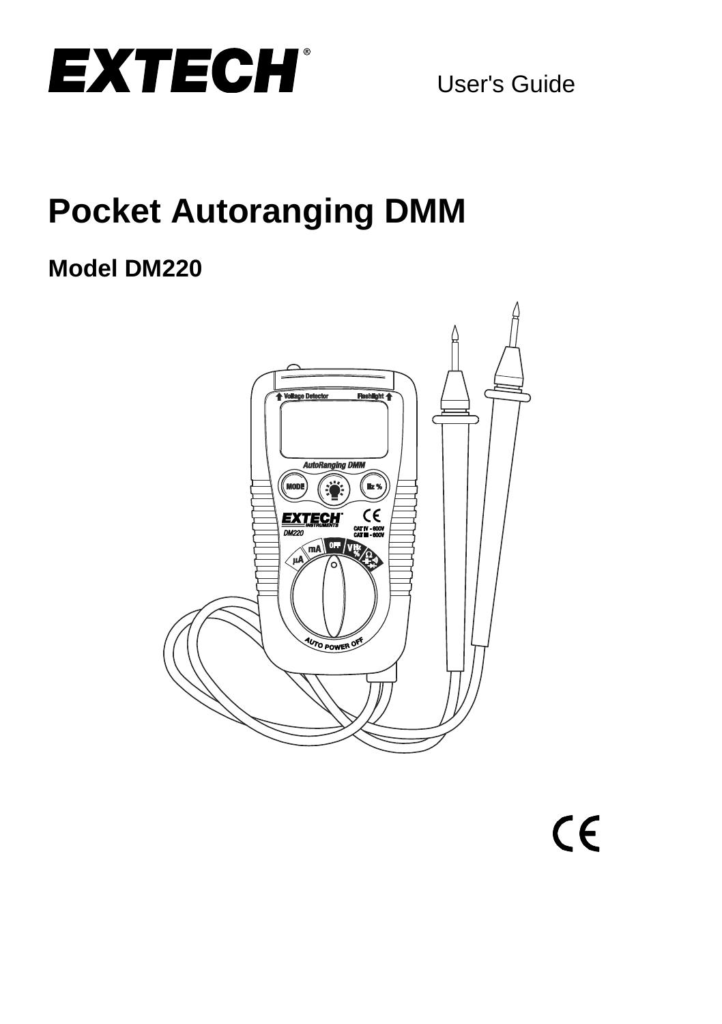

# **Pocket Autoranging DMM**

# **Model DM220**

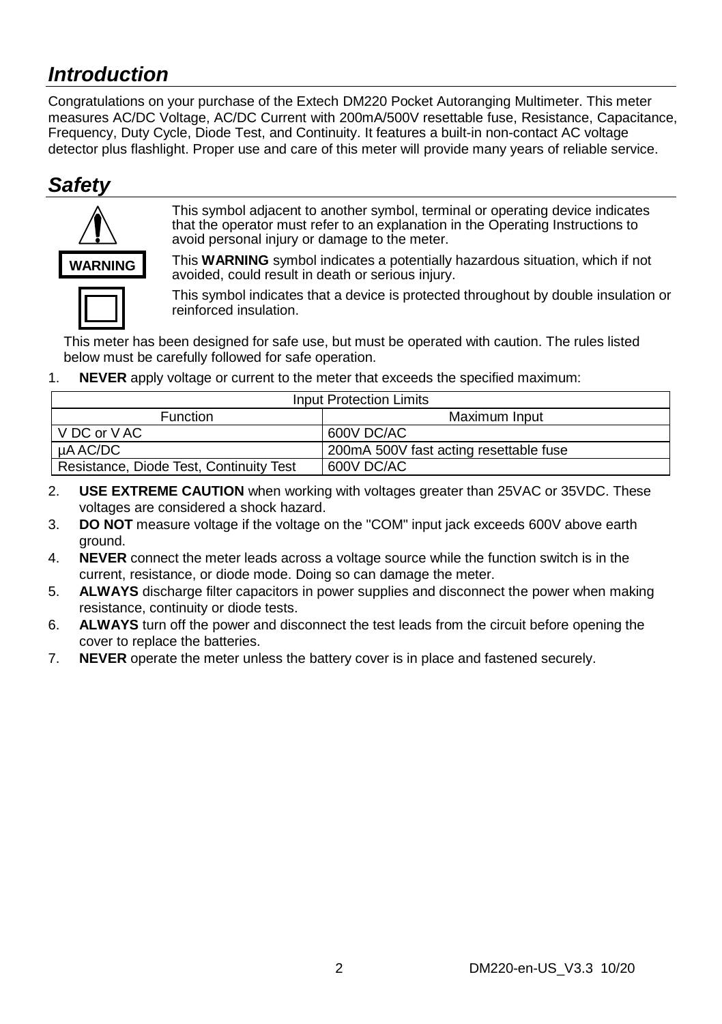### *Introduction*

Congratulations on your purchase of the Extech DM220 Pocket Autoranging Multimeter. This meter measures AC/DC Voltage, AC/DC Current with 200mA/500V resettable fuse, Resistance, Capacitance, Frequency, Duty Cycle, Diode Test, and Continuity. It features a built-in non-contact AC voltage detector plus flashlight. Proper use and care of this meter will provide many years of reliable service.

### *Safety*



This symbol adjacent to another symbol, terminal or operating device indicates that the operator must refer to an explanation in the Operating Instructions to avoid personal injury or damage to the meter.

This **WARNING** symbol indicates a potentially hazardous situation, which if not avoided, could result in death or serious injury.



This symbol indicates that a device is protected throughout by double insulation or reinforced insulation.

This meter has been designed for safe use, but must be operated with caution. The rules listed below must be carefully followed for safe operation.

1. **NEVER** apply voltage or current to the meter that exceeds the specified maximum:

| Input Protection Limits                 |                                        |  |  |
|-----------------------------------------|----------------------------------------|--|--|
| <b>Function</b>                         | Maximum Input                          |  |  |
| V DC or V AC                            | 600V DC/AC                             |  |  |
| uA AC/DC                                | 200mA 500V fast acting resettable fuse |  |  |
| Resistance, Diode Test, Continuity Test | 600V DC/AC                             |  |  |

- 2. **USE EXTREME CAUTION** when working with voltages greater than 25VAC or 35VDC. These voltages are considered a shock hazard.
- 3. **DO NOT** measure voltage if the voltage on the "COM" input jack exceeds 600V above earth ground.
- 4. **NEVER** connect the meter leads across a voltage source while the function switch is in the current, resistance, or diode mode. Doing so can damage the meter.
- 5. **ALWAYS** discharge filter capacitors in power supplies and disconnect the power when making resistance, continuity or diode tests.
- 6. **ALWAYS** turn off the power and disconnect the test leads from the circuit before opening the cover to replace the batteries.
- 7. **NEVER** operate the meter unless the battery cover is in place and fastened securely.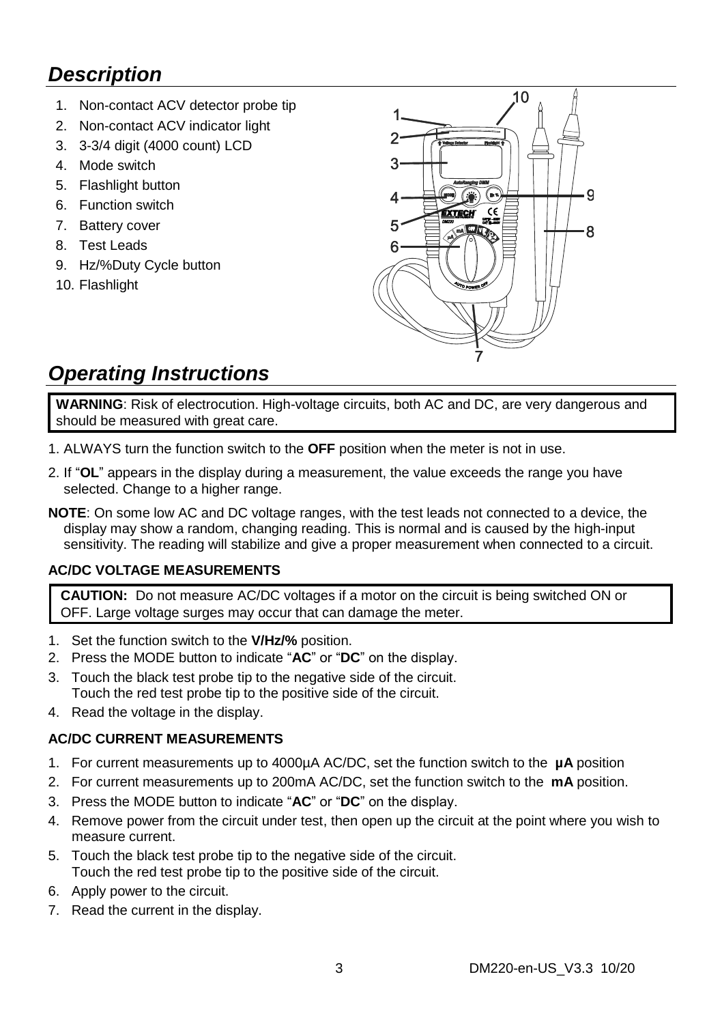### *Description*

- 1. Non-contact ACV detector probe tip
- 2. Non-contact ACV indicator light
- 3. 3-3/4 digit (4000 count) LCD
- 4. Mode switch
- 5. Flashlight button
- 6. Function switch
- 7. Battery cover
- 8. Test Leads
- 9. Hz/%Duty Cycle button
- 10. Flashlight



### *Operating Instructions*

**WARNING**: Risk of electrocution. High-voltage circuits, both AC and DC, are very dangerous and should be measured with great care.

- 1. ALWAYS turn the function switch to the **OFF** position when the meter is not in use.
- 2. If "**OL**" appears in the display during a measurement, the value exceeds the range you have selected. Change to a higher range.
- **NOTE**: On some low AC and DC voltage ranges, with the test leads not connected to a device, the display may show a random, changing reading. This is normal and is caused by the high-input sensitivity. The reading will stabilize and give a proper measurement when connected to a circuit.

#### **AC/DC VOLTAGE MEASUREMENTS**

**CAUTION:** Do not measure AC/DC voltages if a motor on the circuit is being switched ON or OFF. Large voltage surges may occur that can damage the meter.

- 1. Set the function switch to the **V/Hz/%** position.
- 2. Press the MODE button to indicate "**AC**" or "**DC**" on the display.
- 3. Touch the black test probe tip to the negative side of the circuit. Touch the red test probe tip to the positive side of the circuit.
- 4. Read the voltage in the display.

#### **AC/DC CURRENT MEASUREMENTS**

- 1. For current measurements up to 4000µA AC/DC, set the function switch to the **µA** position
- 2. For current measurements up to 200mA AC/DC, set the function switch to the **mA** position.
- 3. Press the MODE button to indicate "**AC**" or "**DC**" on the display.
- 4. Remove power from the circuit under test, then open up the circuit at the point where you wish to measure current.
- 5. Touch the black test probe tip to the negative side of the circuit. Touch the red test probe tip to the positive side of the circuit.
- 6. Apply power to the circuit.
- 7. Read the current in the display.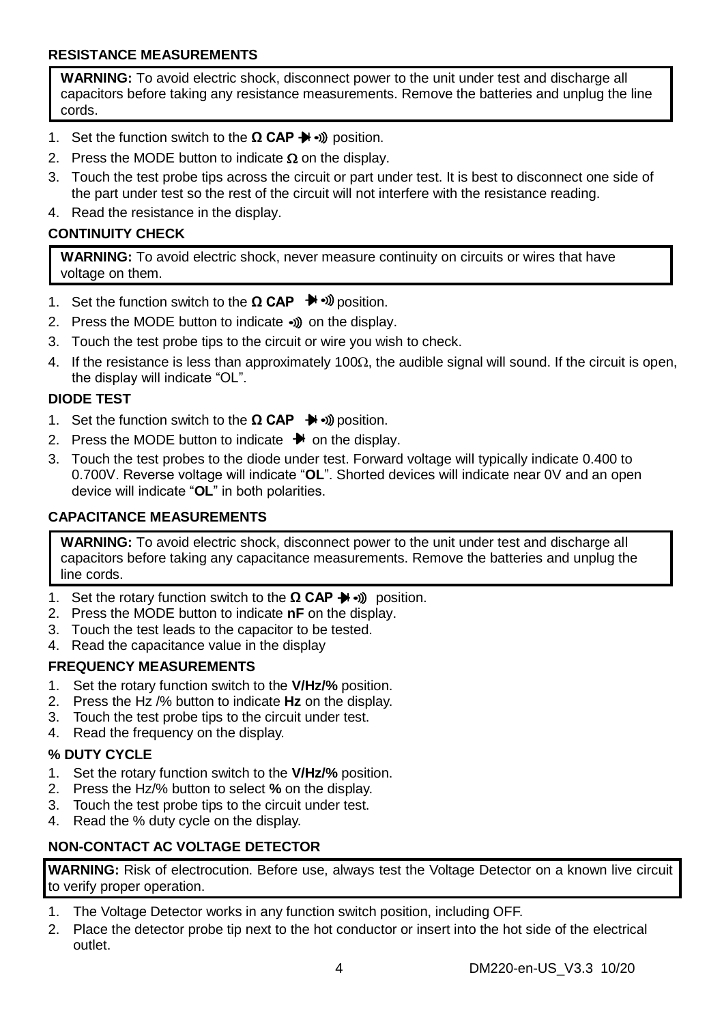#### **RESISTANCE MEASUREMENTS**

**WARNING:** To avoid electric shock, disconnect power to the unit under test and discharge all capacitors before taking any resistance measurements. Remove the batteries and unplug the line cords.

- 1. Set the function switch to the **Ω CAP →** » position.
- 2. Press the MODE button to indicate  $\Omega$  on the display.
- 3. Touch the test probe tips across the circuit or part under test. It is best to disconnect one side of the part under test so the rest of the circuit will not interfere with the resistance reading.
- 4. Read the resistance in the display.

#### **CONTINUITY CHECK**

**WARNING:** To avoid electric shock, never measure continuity on circuits or wires that have voltage on them.

- 1. Set the function switch to the **Ω CAP** <sup>→</sup> » bosition.
- 2. Press the MODE button to indicate  $\bullet$ ) on the display.
- 3. Touch the test probe tips to the circuit or wire you wish to check.
- 4. If the resistance is less than approximately 100 $\Omega$ , the audible signal will sound. If the circuit is open, the display will indicate "OL".

#### **DIODE TEST**

- 1. Set the function switch to the **Ω CAP**  $\rightarrow$  **D** position.
- 2. Press the MODE button to indicate  $\rightarrow$  on the display.
- 3. Touch the test probes to the diode under test. Forward voltage will typically indicate 0.400 to 0.700V. Reverse voltage will indicate "**OL**". Shorted devices will indicate near 0V and an open device will indicate "**OL**" in both polarities.

#### **CAPACITANCE MEASUREMENTS**

**WARNING:** To avoid electric shock, disconnect power to the unit under test and discharge all capacitors before taking any capacitance measurements. Remove the batteries and unplug the line cords.

- 1. Set the rotary function switch to the **Ω CAP →** bosition.
- 2. Press the MODE button to indicate **nF** on the display.
- 3. Touch the test leads to the capacitor to be tested.
- 4. Read the capacitance value in the display

#### **FREQUENCY MEASUREMENTS**

- 1. Set the rotary function switch to the **V/Hz/%** position.
- 2. Press the Hz /% button to indicate **Hz** on the display.
- 3. Touch the test probe tips to the circuit under test.
- 4. Read the frequency on the display.

#### **% DUTY CYCLE**

- 1. Set the rotary function switch to the **V/Hz/%** position.
- 2. Press the Hz/% button to select **%** on the display.
- 3. Touch the test probe tips to the circuit under test.
- 4. Read the % duty cycle on the display.

#### **NON-CONTACT AC VOLTAGE DETECTOR**

**WARNING:** Risk of electrocution. Before use, always test the Voltage Detector on a known live circuit to verify proper operation.

- 1. The Voltage Detector works in any function switch position, including OFF.
- 2. Place the detector probe tip next to the hot conductor or insert into the hot side of the electrical outlet.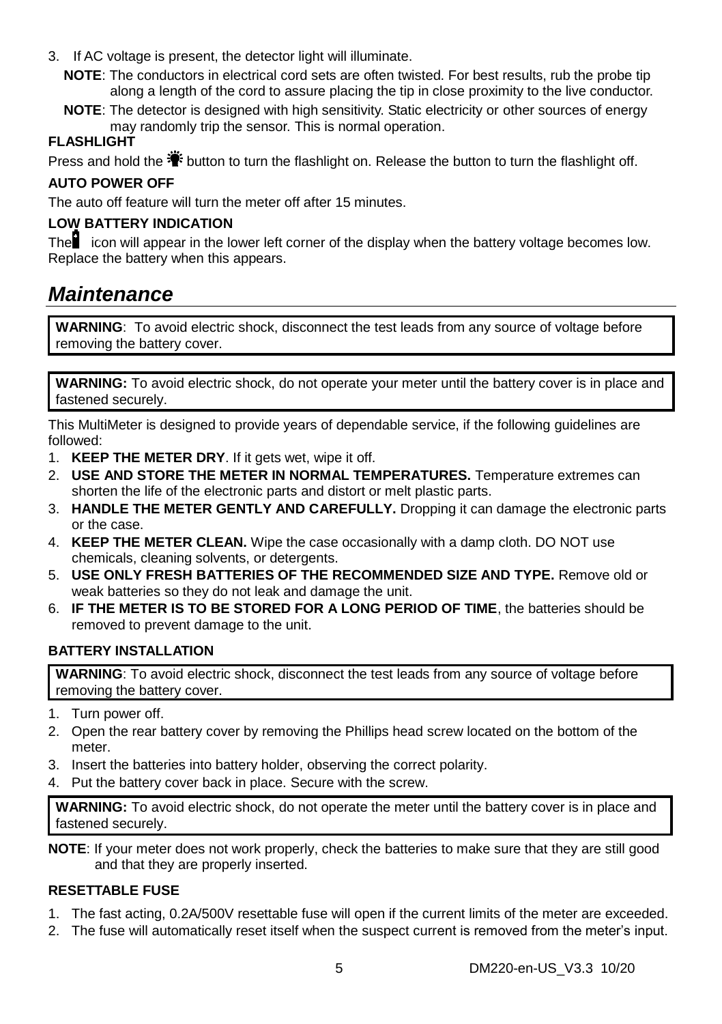- 3. If AC voltage is present, the detector light will illuminate.
	- **NOTE**: The conductors in electrical cord sets are often twisted. For best results, rub the probe tip along a length of the cord to assure placing the tip in close proximity to the live conductor.
	- **NOTE:** The detector is designed with high sensitivity. Static electricity or other sources of energy may randomly trip the sensor. This is normal operation.

#### **FLASHLIGHT**

Press and hold the  $\ddot{\ddot{\bullet}}$  button to turn the flashlight on. Release the button to turn the flashlight off.

#### **AUTO POWER OFF**

The auto off feature will turn the meter off after 15 minutes.

#### **LOW BATTERY INDICATION**

The icon will appear in the lower left corner of the display when the battery voltage becomes low. Replace the battery when this appears.

### *Maintenance*

**WARNING**: To avoid electric shock, disconnect the test leads from any source of voltage before removing the battery cover.

**WARNING:** To avoid electric shock, do not operate your meter until the battery cover is in place and fastened securely.

This MultiMeter is designed to provide years of dependable service, if the following guidelines are followed:

- 1. **KEEP THE METER DRY**. If it gets wet, wipe it off.
- 2. **USE AND STORE THE METER IN NORMAL TEMPERATURES.** Temperature extremes can shorten the life of the electronic parts and distort or melt plastic parts.
- 3. **HANDLE THE METER GENTLY AND CAREFULLY.** Dropping it can damage the electronic parts or the case.
- 4. **KEEP THE METER CLEAN.** Wipe the case occasionally with a damp cloth. DO NOT use chemicals, cleaning solvents, or detergents.
- 5. **USE ONLY FRESH BATTERIES OF THE RECOMMENDED SIZE AND TYPE.** Remove old or weak batteries so they do not leak and damage the unit.
- 6. **IF THE METER IS TO BE STORED FOR A LONG PERIOD OF TIME**, the batteries should be removed to prevent damage to the unit.

#### **BATTERY INSTALLATION**

**WARNING**: To avoid electric shock, disconnect the test leads from any source of voltage before removing the battery cover.

- 1. Turn power off.
- 2. Open the rear battery cover by removing the Phillips head screw located on the bottom of the meter.
- 3. Insert the batteries into battery holder, observing the correct polarity.
- 4. Put the battery cover back in place. Secure with the screw.

**WARNING:** To avoid electric shock, do not operate the meter until the battery cover is in place and fastened securely.

**NOTE**: If your meter does not work properly, check the batteries to make sure that they are still good and that they are properly inserted.

#### **RESETTABLE FUSE**

- 1. The fast acting, 0.2A/500V resettable fuse will open if the current limits of the meter are exceeded.
- 2. The fuse will automatically reset itself when the suspect current is removed from the meter's input.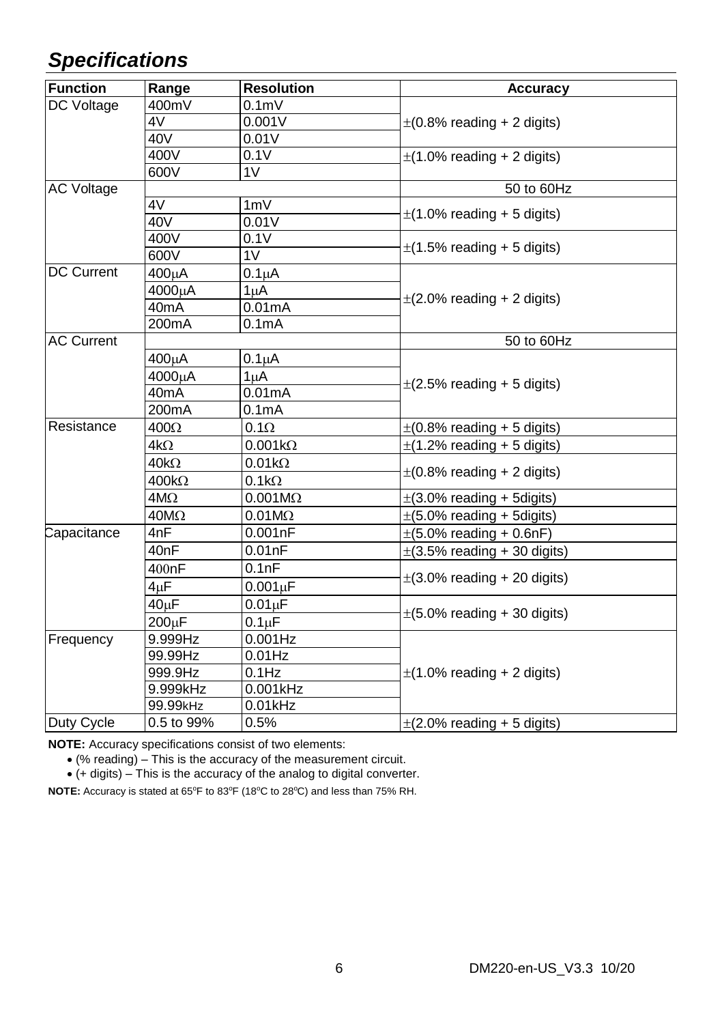### *Specifications*

| <b>Function</b>   | Range              | <b>Resolution</b>   | <b>Accuracy</b>                  |
|-------------------|--------------------|---------------------|----------------------------------|
| DC Voltage        | 400mV              | 0.1 <sub>m</sub>    | $\pm$ (0.8% reading + 2 digits)  |
|                   | 4V                 | 0.001V              |                                  |
|                   | 40V                | 0.01V               |                                  |
|                   | 400V               | 0.1V                | $\pm$ (1.0% reading + 2 digits)  |
|                   | 600V               | 1 <sub>V</sub>      |                                  |
| <b>AC Voltage</b> |                    |                     | 50 to 60Hz                       |
|                   | 4V                 | 1mV                 | $\pm$ (1.0% reading + 5 digits)  |
|                   | 40V                | 0.01V               |                                  |
|                   | 400V               | 0.1V                | $\pm$ (1.5% reading + 5 digits)  |
|                   | 600V               | 1 <sub>V</sub>      |                                  |
| <b>DC Current</b> | 400uA              | $0.1\mu A$          |                                  |
|                   | 4000uA             | $1\muA$             | $\pm$ (2.0% reading + 2 digits)  |
|                   | 40 <sub>m</sub> A  | 0.01mA              |                                  |
|                   | 200 <sub>m</sub> A | 0.1 <sub>m</sub> A  |                                  |
| <b>AC Current</b> |                    |                     | 50 to 60Hz                       |
|                   | 400μA              | $0.1\muA$           |                                  |
|                   | 4000uA             | 1uA                 | $\pm$ (2.5% reading + 5 digits)  |
|                   | 40mA               | 0.01mA              |                                  |
|                   | 200 <sub>m</sub> A | 0.1 <sub>m</sub> A  |                                  |
| Resistance        | 400Ω               | $0.1\Omega$         | $\pm$ (0.8% reading + 5 digits)  |
|                   | 4kΩ                | $0.001k\Omega$      | $\pm$ (1.2% reading + 5 digits)  |
|                   | $40k\Omega$        | $0.01k\Omega$       | $\pm$ (0.8% reading + 2 digits)  |
|                   | $400k\Omega$       | $0.1k\Omega$        |                                  |
|                   | $4M\Omega$         | $0.001M\Omega$      | $\pm$ (3.0% reading + 5 digits)  |
|                   | $40M\Omega$        | $0.01M\Omega$       | $\pm$ (5.0% reading + 5 digits)  |
| Capacitance       | 4nF                | 0.001nF             | $\pm(5.0\%$ reading + 0.6nF)     |
|                   | 40nF               | 0.01nF              | $\pm$ (3.5% reading + 30 digits) |
|                   | 400nF              | 0.1nF               | $\pm$ (3.0% reading + 20 digits) |
|                   | 4uF                | $0.001 \mu F$       |                                  |
|                   | 40 <sub>µ</sub> F  | 0.01 <sub>µ</sub> F | $\pm$ (5.0% reading + 30 digits) |
|                   | 200µF              | 0.1 <sub>µ</sub> F  |                                  |
| Frequency         | 9.999Hz            | $0.001$ Hz          | $\pm$ (1.0% reading + 2 digits)  |
|                   | 99.99Hz            | $0.01$ Hz           |                                  |
|                   | 999.9Hz            | $0.1$ Hz            |                                  |
|                   | 9.999kHz           | 0.001kHz            |                                  |
|                   | 99.99kHz           | $0.01$ kHz          |                                  |
| Duty Cycle        | 0.5 to 99%         | 0.5%                | $\pm$ (2.0% reading + 5 digits)  |

**NOTE:** Accuracy specifications consist of two elements:

(% reading) – This is the accuracy of the measurement circuit.

(+ digits) – This is the accuracy of the analog to digital converter.

**NOTE:** Accuracy is stated at 65°F to 83°F (18°C to 28°C) and less than 75% RH.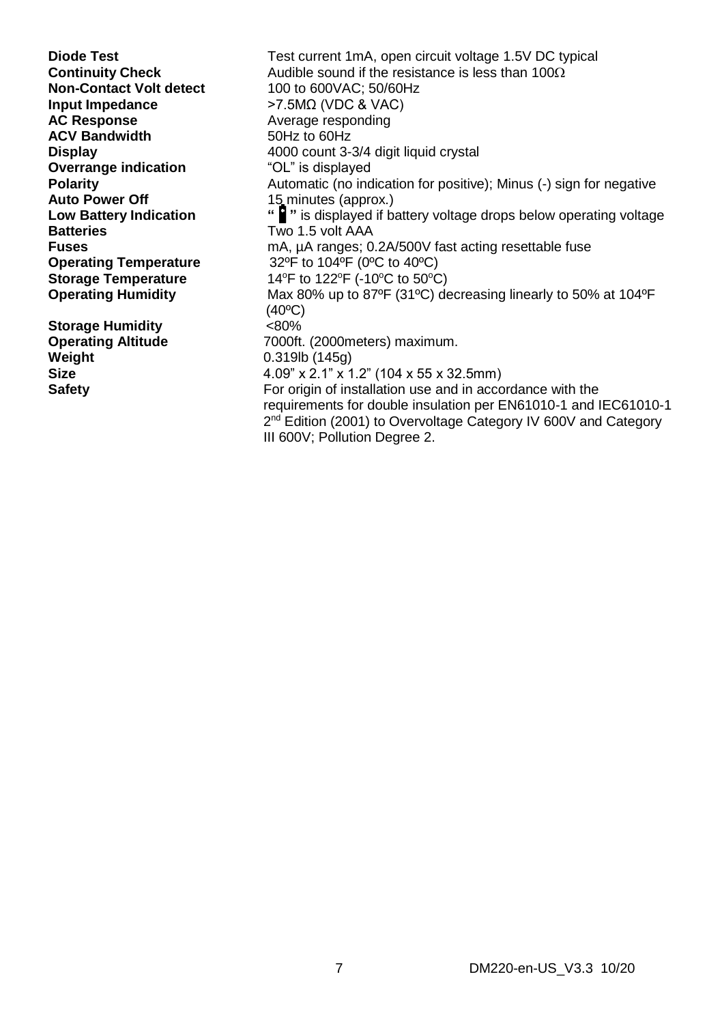**Non-Contact Volt detect<br>Input Impedance Input Impedance** >7.5MΩ (VDC & VAC) **ACV Bandwidth Overrange indication**<br>Polarity **Auto Power Off** 15 minutes (approx.)<br> **Low Battery Indication** " **P**" is displayed if b. **Batteries** Two 1.5 volt AAA<br> **Fuses** MA uA ranges: 0

**Storage Humidity**  $\leq 80\%$ <br> **Operating Altitude** 7000ft. **Weight** 0.319lb (145g)<br> **Size** 4.09" x 2.1" x 1

**Diode Test** Test current 1mA, open circuit voltage 1.5V DC typical **Continuity Check** Audible sound if the resistance is less than 100 $\Omega$ <br>**Non-Contact Volt detect** 100 to 600VAC: 50/60Hz Average responding<br>50Hz to 60Hz **Display 2000** count 3-3/4 digit liquid crystal **Overrange indication 4000** count 3-3/4 digit liquid crystal **Polarity Polarity Polarity** Automatic (no indication for positive); Minus (-) sign for negative **Automatic (1990) Low Battery Indication <b>"** is displayed if battery voltage drops below operating voltage<br>Batteries **Batteries** Two 1.5 volt AAA **Fuses**<br> **Condition Temperature** many many many solutions of the settable fuse<br>  $32^{\circ}$ F to  $104^{\circ}$ F ( $0^{\circ}$ C to  $40^{\circ}$ C) **Operating Temperature** 32ºF to 104ºF (0ºC to 40ºC) **Storage Temperature** 14°F to 122°F (-10°C to 50°C)<br> **Operating Humidity** Max 80% up to 87°F (31°C) de **Operating Humidity** Max 80% up to 87ºF (31ºC) decreasing linearly to 50% at 104ºF  $(40°C)$ **Operating Altitude**  7000ft. (2000meters) maximum.<br> **Weight Weight Weight Weight Size** 4.09" x 2.1" x 1.2" (104 x 55 x 32.5mm) **Safety For origin of installation use and in accordance with the**  requirements for double insulation per EN61010-1 and IEC61010-1 2  $2<sup>nd</sup>$  Edition (2001) to Overvoltage Category IV 600V and Category III 600V; Pollution Degree 2.